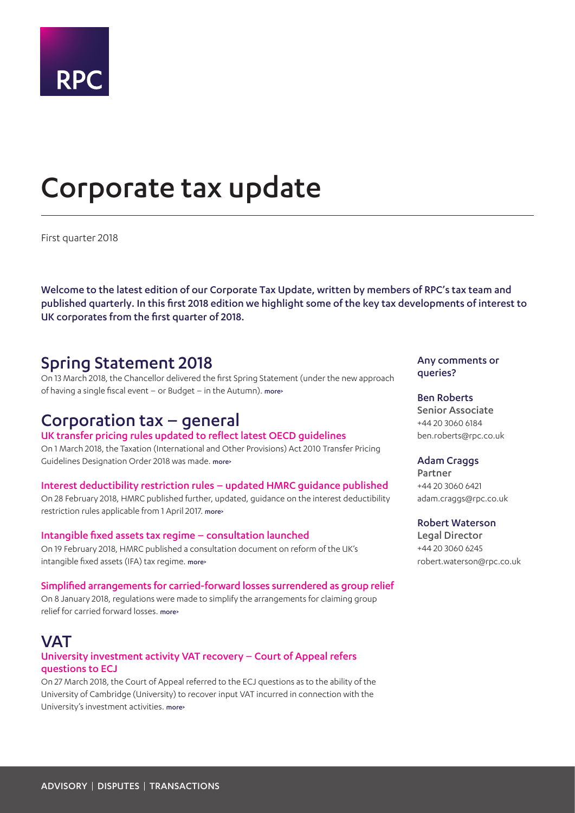

# <span id="page-0-0"></span>Corporate tax update

First quarter 2018

Welcome to the latest edition of our Corporate Tax Update, written by members of RPC's tax team and published quarterly. In this first 2018 edition we highlight some of the key tax developments of interest to UK corporates from the first quarter of 2018.

## Spring Statement 2018

On 13 March 2018, the Chancellor delivered the first Spring Statement (under the new approach of having a single fiscal event – or Budget – in the Autumn). [more>](#page-3-0)

## Corporation tax – general

#### UK transfer pricing rules updated to reflect latest OECD guidelines

On 1 March 2018, the Taxation (International and Other Provisions) Act 2010 Transfer Pricing Guidelines Designation Order 2018 was made. [more>](#page-4-0)

### Interest deductibility restriction rules – updated HMRC guidance published

On 28 February 2018, HMRC published further, updated, guidance on the interest deductibility restriction rules applicable from 1 April 2017. [more>](#page-4-1)

#### Intangible fixed assets tax regime – consultation launched

On 19 February 2018, HMRC published a consultation document on reform of the UK's intangible fixed assets (IFA) tax regime. [more>](#page-4-2)

#### Simplified arrangements for carried-forward losses surrendered as group relief

On 8 January 2018, regulations were made to simplify the arrangements for claiming group relief for carried forward losses. [more>](#page-4-3)

## **VAT**

## University investment activity VAT recovery – Court of Appeal refers questions to ECJ

On 27 March 2018, the Court of Appeal referred to the ECJ questions as to the ability of the University of Cambridge (University) to recover input VAT incurred in connection with the University's investment activities. [more>](#page-5-0)

## Any comments or queries?

#### Ben Roberts

Senior Associate +44 20 3060 6184 ben.roberts@rpc.co.uk

### Adam Craggs

Partner +44 20 3060 6421 adam.craggs@rpc.co.uk

#### Robert Waterson

Legal Director +44 20 3060 6245 robert.waterson@rpc.co.uk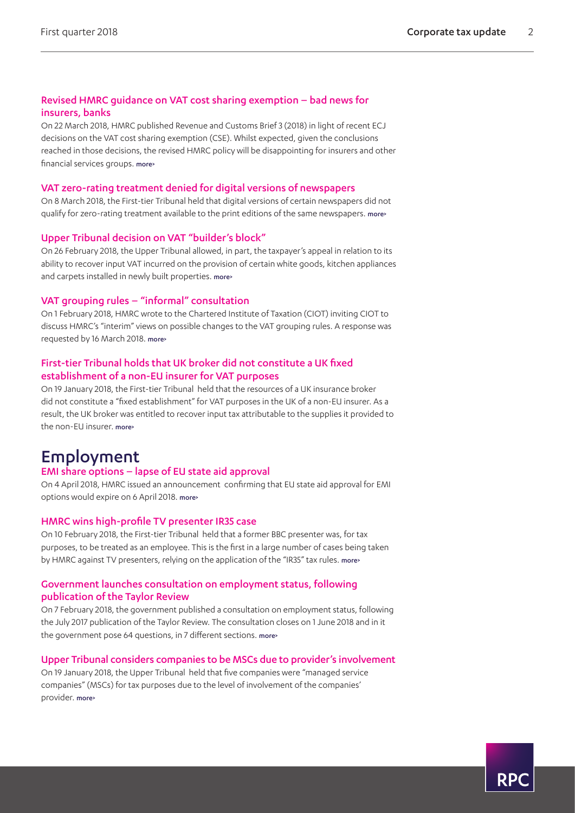## Revised HMRC guidance on VAT cost sharing exemption – bad news for insurers, banks

On 22 March 2018, HMRC published Revenue and Customs Brief 3 (2018) in light of recent ECJ decisions on the VAT cost sharing exemption (CSE). Whilst expected, given the conclusions reached in those decisions, the revised HMRC policy will be disappointing for insurers and other financial services groups. [more>](#page-5-1)

#### VAT zero-rating treatment denied for digital versions of newspapers

On 8 March 2018, the First-tier Tribunal held that digital versions of certain newspapers did not qualify for zero-rating treatment available to the print editions of the same newspapers. [more>](#page-6-0)

#### Upper Tribunal decision on VAT "builder's block"

On 26 February 2018, the Upper Tribunal allowed, in part, the taxpayer's appeal in relation to its ability to recover input VAT incurred on the provision of certain white goods, kitchen appliances and carpets installed in newly built properties. more>

#### VAT grouping rules – "informal" consultation

On 1 February 2018, HMRC wrote to the Chartered Institute of Taxation (CIOT) inviting CIOT to discuss HMRC's "interim" views on possible changes to the VAT grouping rules. A response was requested by 16 March 2018. more>

### First-tier Tribunal holds that UK broker did not constitute a UK fixed establishment of a non-EU insurer for VAT purposes

On 19 January 2018, the First-tier Tribunal held that the resources of a UK insurance broker did not constitute a "fixed establishment" for VAT purposes in the UK of a non-EU insurer. As a result, the UK broker was entitled to recover input tax attributable to the supplies it provided to the non-EU insurer. [more>](#page-8-0)

## Employment

#### EMI share options – lapse of EU state aid approval

On 4 April 2018, HMRC issued an announcement confirming that EU state aid approval for EMI options would expire on 6 April 2018. [more>](#page-10-0)

#### HMRC wins high-profile TV presenter IR35 case

On 10 February 2018, the First-tier Tribunal held that a former BBC presenter was, for tax purposes, to be treated as an employee. This is the first in a large number of cases being taken by HMRC against TV presenters, relying on the application of the "IR35" tax rules. [more>](#page-10-1)

### Government launches consultation on employment status, following publication of the Taylor Review

On 7 February 2018, the government published a consultation on employment status, following the July 2017 publication of the Taylor Review. The consultation closes on 1 June 2018 and in it the government pose 64 questions, in 7 different sections. [more>](#page-10-2)

#### Upper Tribunal considers companies to be MSCs due to provider's involvement

On 19 January 2018, the Upper Tribunal held that five companies were "managed service companies" (MSCs) for tax purposes due to the level of involvement of the companies' provider. more>

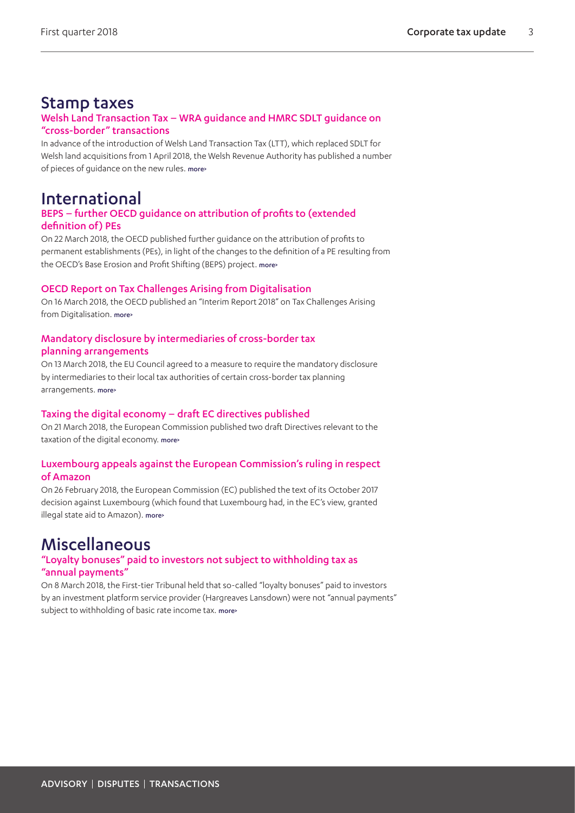## Stamp taxes

## Welsh Land Transaction Tax – WRA guidance and HMRC SDLT guidance on "cross-border" transactions

In advance of the introduction of Welsh Land Transaction Tax (LTT), which replaced SDLT for Welsh land acquisitions from 1 April 2018, the Welsh Revenue Authority has published a number of pieces of guidance on the new rules. [more>](#page-12-0)

## International

## BEPS – further OECD guidance on attribution of profits to (extended definition of) PEs

On 22 March 2018, the OECD published further guidance on the attribution of profits to permanent establishments (PEs), in light of the changes to the definition of a PE resulting from the OECD's Base Erosion and Profit Shifting (BEPS) project. [more>](#page-13-0)

## OECD Report on Tax Challenges Arising from Digitalisation

On 16 March 2018, the OECD published an "Interim Report 2018" on Tax Challenges Arising from Digitalisation. [more>](#page-13-1)

## Mandatory disclosure by intermediaries of cross-border tax planning arrangements

On 13 March 2018, the EU Council agreed to a measure to require the mandatory disclosure by intermediaries to their local tax authorities of certain cross-border tax planning arrangements. more>

## Taxing the digital economy – draft EC directives published

On 21 March 2018, the European Commission published two draft Directives relevant to the taxation of the digital economy. [more>](#page-14-0)

## Luxembourg appeals against the European Commission's ruling in respect of Amazon

On 26 February 2018, the European Commission (EC) published the text of its October 2017 decision against Luxembourg (which found that Luxembourg had, in the EC's view, granted illegal state aid to Amazon). more

## Miscellaneous

## "Loyalty bonuses" paid to investors not subject to withholding tax as "annual payments"

On 8 March 2018, the First-tier Tribunal held that so-called "loyalty bonuses" paid to investors by an investment platform service provider (Hargreaves Lansdown) were not "annual payments" subject to withholding of basic rate income tax. [more>](#page-15-0)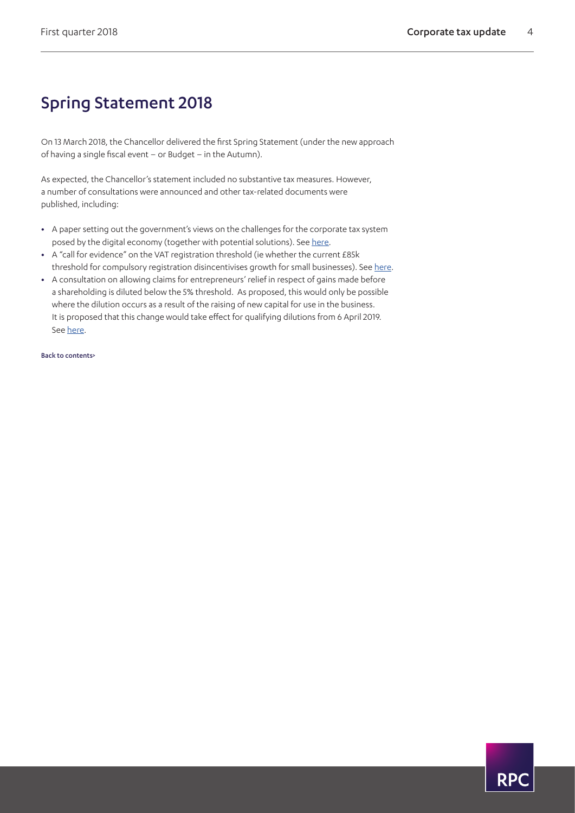## <span id="page-3-0"></span>Spring Statement 2018

On 13 March 2018, the Chancellor delivered the first Spring Statement (under the new approach of having a single fiscal event – or Budget – in the Autumn).

As expected, the Chancellor's statement included no substantive tax measures. However, a number of consultations were announced and other tax-related documents were published, including:

- **•** A paper setting out the government's views on the challenges for the corporate tax system posed by the digital economy (together with potential solutions). See [here](https://www.gov.uk/government/consultations/corporate-tax-and-the-digital-economy-position-paper).
- **•** A "call for evidence" on the VAT registration threshold (ie whether the current £85k threshold for compulsory registration disincentivises growth for small businesses). See [here](https://www.gov.uk/government/consultations/vat-registration-threshold-call-for-evidence).
- **•** A consultation on allowing claims for entrepreneurs' relief in respect of gains made before a shareholding is diluted below the 5% threshold. As proposed, this would only be possible where the dilution occurs as a result of the raising of new capital for use in the business. It is proposed that this change would take effect for qualifying dilutions from 6 April 2019. See [here](https://www.gov.uk/government/consultations/allowing-entrepreneurs-relief-on-gains-made-before-dilution).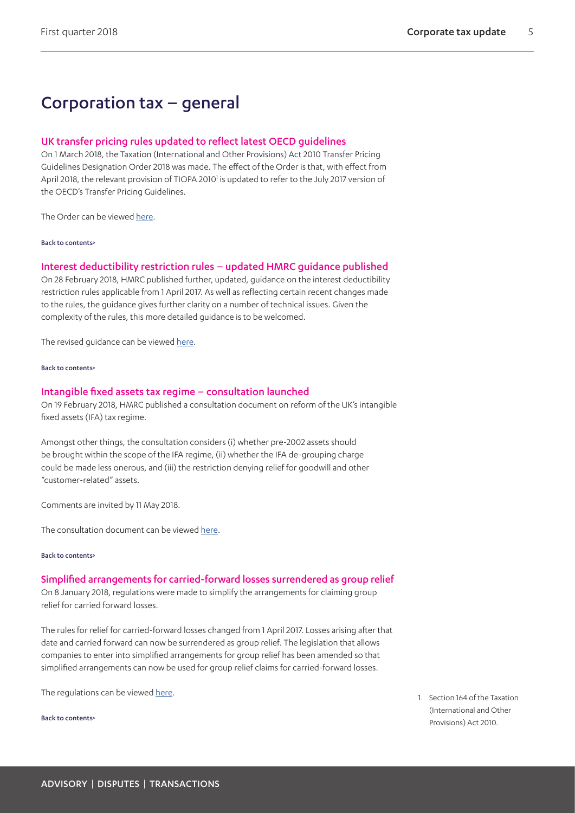## Corporation tax – general

## <span id="page-4-0"></span>UK transfer pricing rules updated to reflect latest OECD guidelines

On 1 March 2018, the Taxation (International and Other Provisions) Act 2010 Transfer Pricing Guidelines Designation Order 2018 was made. The effect of the Order is that, with effect from April 20[1](#page-4-4)8, the relevant provision of TIOPA 2010<sup>1</sup> is updated to refer to the July 2017 version of the OECD's Transfer Pricing Guidelines.

The Order can be viewed [here.](http://www.legislation.gov.uk/uksi/2018/266/contents/made)

#### [Back to contents>](#page-0-0)

#### <span id="page-4-1"></span>Interest deductibility restriction rules – updated HMRC guidance published

On 28 February 2018, HMRC published further, updated, guidance on the interest deductibility restriction rules applicable from 1 April 2017. As well as reflecting certain recent changes made to the rules, the guidance gives further clarity on a number of technical issues. Given the complexity of the rules, this more detailed guidance is to be welcomed.

The revised guidance can be viewed [here](https://www.gov.uk/government/publications/corporate-interest-restriction-draft-guidance).

#### [Back to contents>](#page-0-0)

#### <span id="page-4-2"></span>Intangible fixed assets tax regime – consultation launched

On 19 February 2018, HMRC published a consultation document on reform of the UK's intangible fixed assets (IFA) tax regime.

Amongst other things, the consultation considers (i) whether pre-2002 assets should be brought within the scope of the IFA regime, (ii) whether the IFA de-grouping charge could be made less onerous, and (iii) the restriction denying relief for goodwill and other "customer-related" assets.

Comments are invited by 11 May 2018.

The consultation document can be viewed [here.](https://www.gov.uk/government/consultations/review-of-the-corporate-intangible-fixed-assets-regime)

#### [Back to contents>](#page-0-0)

#### <span id="page-4-3"></span>Simplified arrangements for carried-forward losses surrendered as group relief

On 8 January 2018, regulations were made to simplify the arrangements for claiming group relief for carried forward losses.

The rules for relief for carried-forward losses changed from 1 April 2017. Losses arising after that date and carried forward can now be surrendered as group relief. The legislation that allows companies to enter into simplified arrangements for group relief has been amended so that simplified arrangements can now be used for group relief claims for carried-forward losses.

The regulations can be viewed [here.](https://www.gov.uk/government/publications/corporation-tax-changes-to-simplified-arrangements-for-group-relief)

[Back to contents>](#page-0-0)

<span id="page-4-4"></span>1. Section 164 of the Taxation (International and Other Provisions) Act 2010.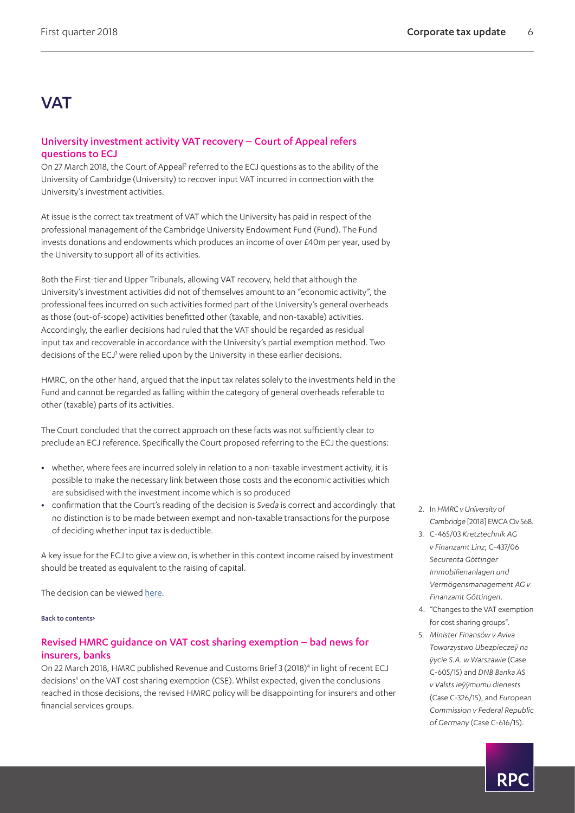## **VAT**

## <span id="page-5-0"></span>University investment activity VAT recovery – Court of Appeal refers questions to ECJ

On [2](#page-5-2)7 March 2018, the Court of Appeal<sup>2</sup> referred to the ECJ questions as to the ability of the University of Cambridge (University) to recover input VAT incurred in connection with the University's investment activities.

At issue is the correct tax treatment of VAT which the University has paid in respect of the professional management of the Cambridge University Endowment Fund (Fund). The Fund invests donations and endowments which produces an income of over £40m per year, used by the University to support all of its activities.

Both the First-tier and Upper Tribunals, allowing VAT recovery, held that although the University's investment activities did not of themselves amount to an "economic activity", the professional fees incurred on such activities formed part of the University's general overheads as those (out-of-scope) activities benefitted other (taxable, and non-taxable) activities. Accordingly, the earlier decisions had ruled that the VAT should be regarded as residual input tax and recoverable in accordance with the University's partial exemption method. Two decisions of the ECJ<sup>3</sup> were relied upon by the University in these earlier decisions.

HMRC, on the other hand, argued that the input tax relates solely to the investments held in the Fund and cannot be regarded as falling within the category of general overheads referable to other (taxable) parts of its activities.

The Court concluded that the correct approach on these facts was not sufficiently clear to preclude an ECJ reference. Specifically the Court proposed referring to the ECJ the questions:

- **•** whether, where fees are incurred solely in relation to a non-taxable investment activity, it is possible to make the necessary link between those costs and the economic activities which are subsidised with the investment income which is so produced
- **•** confirmation that the Court's reading of the decision is *Sveda* is correct and accordingly that no distinction is to be made between exempt and non-taxable transactions for the purpose of deciding whether input tax is deductible.

A key issue for the ECJ to give a view on, is whether in this context income raised by investment should be treated as equivalent to the raising of capital.

The decision can be viewed [here.](http://www.bailii.org/ew/cases/EWCA/Civ/2018/568.html)

#### [Back to contents>](#page-0-0)

## <span id="page-5-1"></span>Revised HMRC guidance on VAT cost sharing exemption – bad news for insurers, banks

On 22 March 2018, HMRC published Revenue and Customs Brief 3 (2018)<sup>4</sup> in light of recent ECJ decisions<sup>[5](#page-5-5)</sup> on the VAT cost sharing exemption (CSE). Whilst expected, given the conclusions reached in those decisions, the revised HMRC policy will be disappointing for insurers and other financial services groups.

- <span id="page-5-2"></span>2. In *HMRC v University of Cambridge* [2018] EWCA Civ 568.
- <span id="page-5-3"></span>3. C-465/03 *Kretztechnik AG v Finanzamt Linz*; C-437/06 *Securenta Göttinger Immobilienanlagen und Vermögensmanagement AG v Finanzamt Göttingen*.
- <span id="page-5-4"></span>4. "Changes to the VAT exemption for cost sharing groups".
- <span id="page-5-5"></span>5. *Minister Finansów v Aviva Towarzystwo Ubezpieczeÿ na ÿycie S.A. w Warszawie* (Case C-605/15) and *DNB Banka AS v Valsts ieÿÿmumu dienests*  (Case C-326/15), and *European Commission v Federal Republic of Germany* (Case C-616/15).

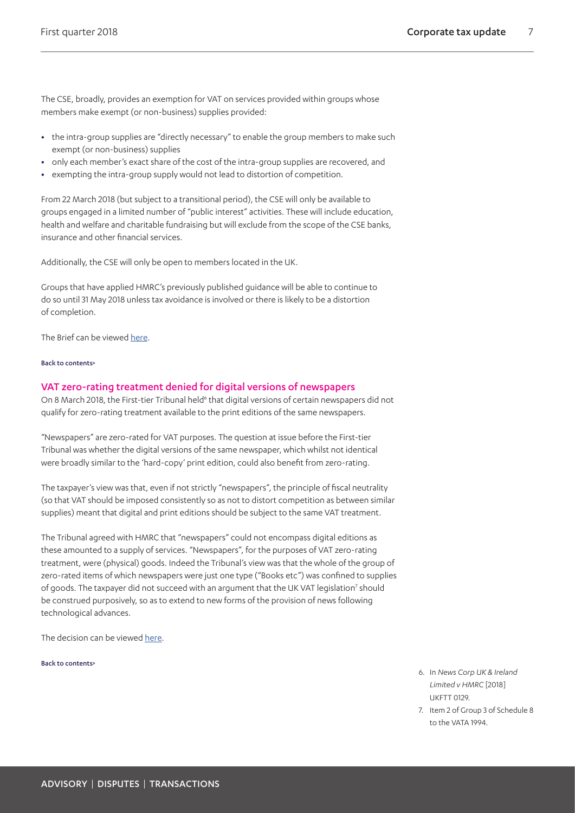The CSE, broadly, provides an exemption for VAT on services provided within groups whose members make exempt (or non-business) supplies provided:

- **•** the intra-group supplies are "directly necessary" to enable the group members to make such exempt (or non-business) supplies
- **•** only each member's exact share of the cost of the intra-group supplies are recovered, and
- **•** exempting the intra-group supply would not lead to distortion of competition.

From 22 March 2018 (but subject to a transitional period), the CSE will only be available to groups engaged in a limited number of "public interest" activities. These will include education, health and welfare and charitable fundraising but will exclude from the scope of the CSE banks, insurance and other financial services.

Additionally, the CSE will only be open to members located in the UK.

Groups that have applied HMRC's previously published guidance will be able to continue to do so until 31 May 2018 unless tax avoidance is involved or there is likely to be a distortion of completion.

The Brief can be viewed [here.](https://www.gov.uk/government/publications/revenue-and-customs-brief-3-2018-changes-to-the-vat-exemption-for-cost-sharing-groups)

#### [Back to contents>](#page-0-0)

#### <span id="page-6-0"></span>VAT zero-rating treatment denied for digital versions of newspapers

On 8 March 2018, the First-tier Tribunal held<sup>6</sup> that digital versions of certain newspapers did not qualify for zero-rating treatment available to the print editions of the same newspapers.

"Newspapers" are zero-rated for VAT purposes. The question at issue before the First-tier Tribunal was whether the digital versions of the same newspaper, which whilst not identical were broadly similar to the 'hard-copy' print edition, could also benefit from zero-rating.

The taxpayer's view was that, even if not strictly "newspapers", the principle of fiscal neutrality (so that VAT should be imposed consistently so as not to distort competition as between similar supplies) meant that digital and print editions should be subject to the same VAT treatment.

The Tribunal agreed with HMRC that "newspapers" could not encompass digital editions as these amounted to a supply of services. "Newspapers", for the purposes of VAT zero-rating treatment, were (physical) goods. Indeed the Tribunal's view was that the whole of the group of zero-rated items of which newspapers were just one type ("Books etc") was confined to supplies of goods. The taxpayer did not succeed with an argument that the UK VAT legislation<sup>[7](#page-6-2)</sup> should be construed purposively, so as to extend to new forms of the provision of news following technological advances.

The decision can be viewed [here.](http://financeandtax.decisions.tribunals.gov.uk/judgmentfiles/j10349/TC06385.pdf)

- <span id="page-6-1"></span>6. In *News Corp UK & Ireland Limited v HMRC* [2018] UKFTT 0129.
- <span id="page-6-2"></span>7. Item 2 of Group 3 of Schedule 8 to the VATA 1994.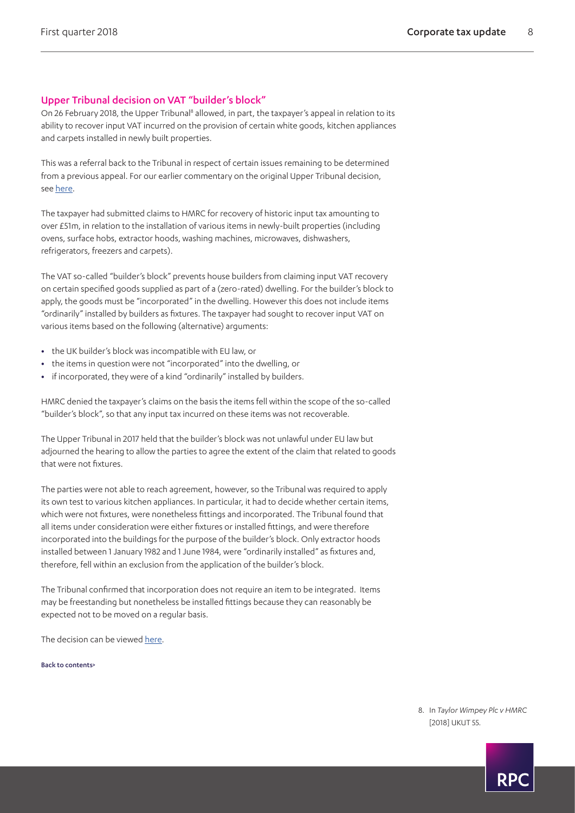## Upper Tribunal decision on VAT "builder's block"

On 26 February 201[8](#page-7-0), the Upper Tribunal<sup>8</sup> allowed, in part, the taxpayer's appeal in relation to its ability to recover input VAT incurred on the provision of certain white goods, kitchen appliances and carpets installed in newly built properties.

This was a referral back to the Tribunal in respect of certain issues remaining to be determined from a previous appeal. For our earlier commentary on the original Upper Tribunal decision, see [here](https://www.rpc.co.uk/perspectives/tax-take/corporate-tax-update-first-quarter-2017/).

The taxpayer had submitted claims to HMRC for recovery of historic input tax amounting to over £51m, in relation to the installation of various items in newly-built properties (including ovens, surface hobs, extractor hoods, washing machines, microwaves, dishwashers, refrigerators, freezers and carpets).

The VAT so-called "builder's block" prevents house builders from claiming input VAT recovery on certain specified goods supplied as part of a (zero-rated) dwelling. For the builder's block to apply, the goods must be "incorporated" in the dwelling. However this does not include items "ordinarily" installed by builders as fixtures. The taxpayer had sought to recover input VAT on various items based on the following (alternative) arguments:

- **•** the UK builder's block was incompatible with EU law, or
- **•** the items in question were not "incorporated" into the dwelling, or
- **•** if incorporated, they were of a kind "ordinarily" installed by builders.

HMRC denied the taxpayer's claims on the basis the items fell within the scope of the so-called "builder's block", so that any input tax incurred on these items was not recoverable.

The Upper Tribunal in 2017 held that the builder's block was not unlawful under EU law but adjourned the hearing to allow the parties to agree the extent of the claim that related to goods that were not fixtures.

The parties were not able to reach agreement, however, so the Tribunal was required to apply its own test to various kitchen appliances. In particular, it had to decide whether certain items, which were not fixtures, were nonetheless fittings and incorporated. The Tribunal found that all items under consideration were either fixtures or installed fittings, and were therefore incorporated into the buildings for the purpose of the builder's block. Only extractor hoods installed between 1 January 1982 and 1 June 1984, were "ordinarily installed" as fixtures and, therefore, fell within an exclusion from the application of the builder's block.

The Tribunal confirmed that incorporation does not require an item to be integrated. Items may be freestanding but nonetheless be installed fittings because they can reasonably be expected not to be moved on a regular basis.

The decision can be viewed [here.](https://assets.publishing.service.gov.uk/media/5a93f7e340f0b67aa272509f/Taylor_Wimpey_PLC_v_HMRC_.pdf)

[Back to contents>](#page-0-0)

<span id="page-7-0"></span>8. In *Taylor Wimpey Plc v HMRC* [2018] UKUT 55.

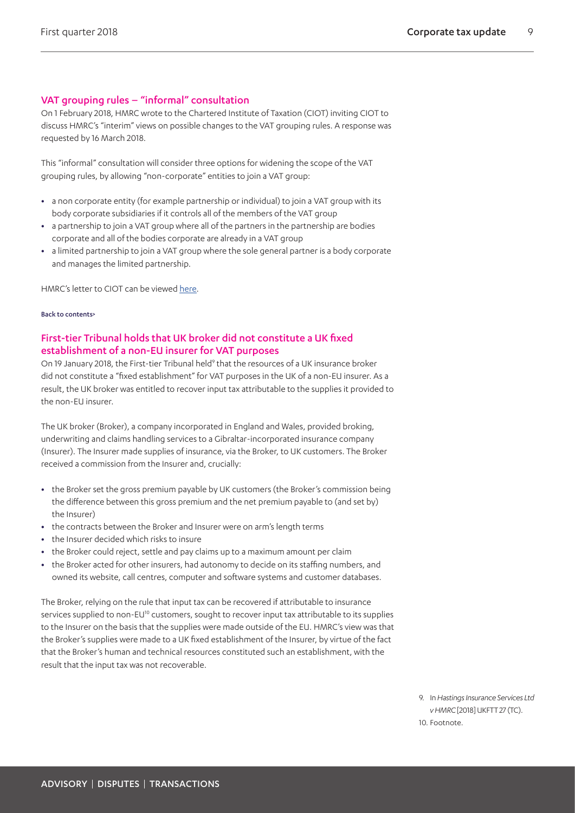### VAT grouping rules – "informal" consultation

On 1 February 2018, HMRC wrote to the Chartered Institute of Taxation (CIOT) inviting CIOT to discuss HMRC's "interim" views on possible changes to the VAT grouping rules. A response was requested by 16 March 2018.

This "informal" consultation will consider three options for widening the scope of the VAT grouping rules, by allowing "non-corporate" entities to join a VAT group:

- **•** a non corporate entity (for example partnership or individual) to join a VAT group with its body corporate subsidiaries if it controls all of the members of the VAT group
- **•** a partnership to join a VAT group where all of the partners in the partnership are bodies corporate and all of the bodies corporate are already in a VAT group
- **•** a limited partnership to join a VAT group where the sole general partner is a body corporate and manages the limited partnership.

HMRC's letter to CIOT can be viewed [here.](https://www.tax.org.uk/sites/default/files/180201%20-%20VAT%20grouping%20-%20Informal%20consultation.pdf)

#### [Back to contents>](#page-0-0)

## <span id="page-8-0"></span>First-tier Tribunal holds that UK broker did not constitute a UK fixed establishment of a non-EU insurer for VAT purposes

On 1[9](#page-8-1) January 2018, the First-tier Tribunal held<sup>9</sup> that the resources of a UK insurance broker did not constitute a "fixed establishment" for VAT purposes in the UK of a non-EU insurer. As a result, the UK broker was entitled to recover input tax attributable to the supplies it provided to the non-EU insurer.

The UK broker (Broker), a company incorporated in England and Wales, provided broking, underwriting and claims handling services to a Gibraltar-incorporated insurance company (Insurer). The Insurer made supplies of insurance, via the Broker, to UK customers. The Broker received a commission from the Insurer and, crucially:

- **•** the Broker set the gross premium payable by UK customers (the Broker's commission being the difference between this gross premium and the net premium payable to (and set by) the Insurer)
- **•** the contracts between the Broker and Insurer were on arm's length terms
- **•** the Insurer decided which risks to insure
- **•** the Broker could reject, settle and pay claims up to a maximum amount per claim
- **•** the Broker acted for other insurers, had autonomy to decide on its staffing numbers, and owned its website, call centres, computer and software systems and customer databases.

The Broker, relying on the rule that input tax can be recovered if attributable to insurance services supplied to non-EU<sup>10</sup> customers, sought to recover input tax attributable to its supplies to the Insurer on the basis that the supplies were made outside of the EU. HMRC's view was that the Broker's supplies were made to a UK fixed establishment of the Insurer, by virtue of the fact that the Broker's human and technical resources constituted such an establishment, with the result that the input tax was not recoverable.

> <span id="page-8-2"></span><span id="page-8-1"></span>9. In *Hastings Insurance Services Ltd v HMRC* [2018] UKFTT 27 (TC). 10. Footnote.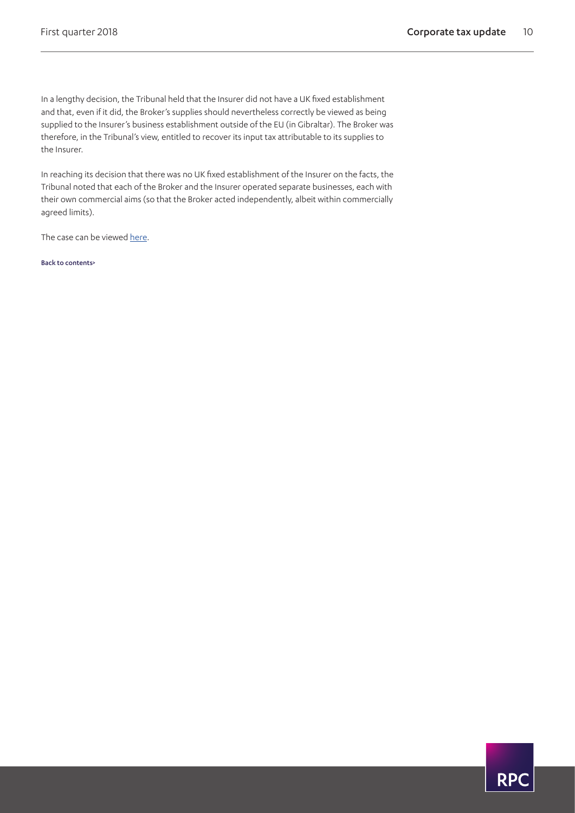In a lengthy decision, the Tribunal held that the Insurer did not have a UK fixed establishment and that, even if it did, the Broker's supplies should nevertheless correctly be viewed as being supplied to the Insurer's business establishment outside of the EU (in Gibraltar). The Broker was therefore, in the Tribunal's view, entitled to recover its input tax attributable to its supplies to the Insurer.

In reaching its decision that there was no UK fixed establishment of the Insurer on the facts, the Tribunal noted that each of the Broker and the Insurer operated separate businesses, each with their own commercial aims (so that the Broker acted independently, albeit within commercially agreed limits).

The case can be viewed [here](http://financeandtax.decisions.tribunals.gov.uk//judgmentfiles/j10281/TC06306.pdf).

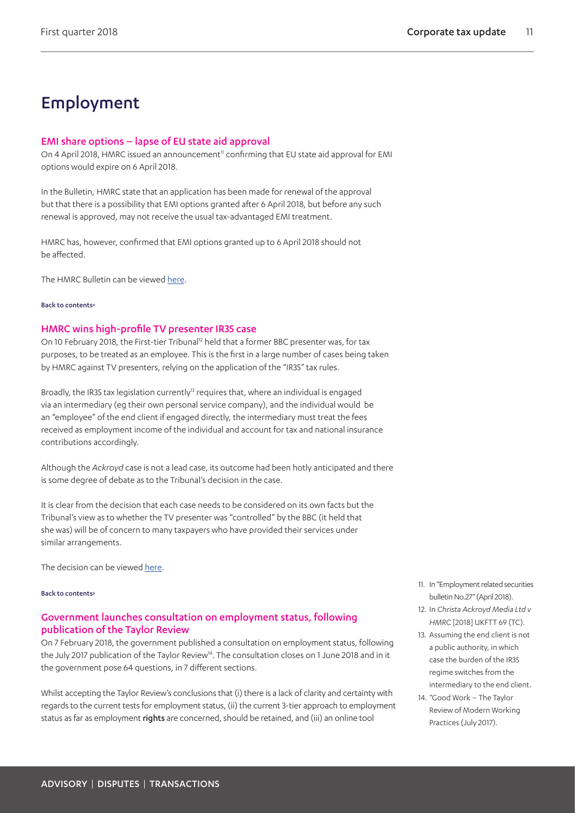## Employment

## <span id="page-10-0"></span>EMI share options – lapse of EU state aid approval

On 4 April 2018, HMRC issued an announcement<sup>11</sup> confirming that EU state aid approval for EMI options would expire on 6 April 2018.

In the Bulletin, HMRC state that an application has been made for renewal of the approval but that there is a possibility that EMI options granted after 6 April 2018, but before any such renewal is approved, may not receive the usual tax-advantaged EMI treatment.

HMRC has, however, confirmed that EMI options granted up to 6 April 2018 should not be affected.

The HMRC Bulletin can be viewed [here.](https://www.gov.uk/government/publications/employment-related-securities-bulletin/employment-related-securities-bulletin-no-27-april-2018)

#### [Back to contents>](#page-0-0)

### <span id="page-10-1"></span>HMRC wins high-profile TV presenter IR35 case

On 10 February 2018, the First-tier Tribunal<sup>[12](#page-10-4)</sup> held that a former BBC presenter was, for tax purposes, to be treated as an employee. This is the first in a large number of cases being taken by HMRC against TV presenters, relying on the application of the "IR35" tax rules.

Broadly, the IR35 tax legislation currently<sup>13</sup> requires that, where an individual is engaged via an intermediary (eg their own personal service company), and the individual would be an "employee" of the end client if engaged directly, the intermediary must treat the fees received as employment income of the individual and account for tax and national insurance contributions accordingly.

Although the *Ackroyd* case is not a lead case, its outcome had been hotly anticipated and there is some degree of debate as to the Tribunal's decision in the case.

It is clear from the decision that each case needs to be considered on its own facts but the Tribunal's view as to whether the TV presenter was "controlled" by the BBC (it held that she was) will be of concern to many taxpayers who have provided their services under similar arrangements.

The decision can be viewed [here.](http://financeandtax.decisions.tribunals.gov.uk/judgmentfiles/j10300/TC06334.pdf)

#### [Back to contents>](#page-0-0)

## <span id="page-10-2"></span>Government launches consultation on employment status, following publication of the Taylor Review

On 7 February 2018, the government published a consultation on employment status, following the July 2017 publication of the Taylor Review<sup>14</sup>. The consultation closes on 1 June 2018 and in it the government pose 64 questions, in 7 different sections.

Whilst accepting the Taylor Review's conclusions that (i) there is a lack of clarity and certainty with regards to the current tests for employment status, (ii) the current 3-tier approach to employment status as far as employment rights are concerned, should be retained, and (iii) an online tool

- <span id="page-10-3"></span>11. In "Employment related securities bulletin No.27" (April 2018).
- <span id="page-10-4"></span>12. In *Christa Ackroyd Media Ltd v HMRC* [2018] UKFTT 69 (TC).
- <span id="page-10-5"></span>13. Assuming the end client is not a public authority, in which case the burden of the IR35 regime switches from the intermediary to the end client.
- <span id="page-10-6"></span>14. "Good Work – The Taylor Review of Modern Working Practices (July 2017).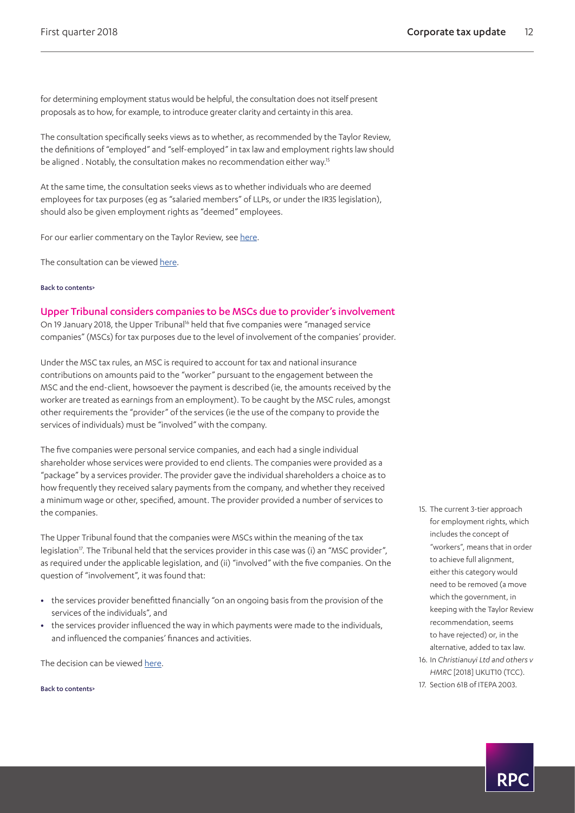for determining employment status would be helpful, the consultation does not itself present proposals as to how, for example, to introduce greater clarity and certainty in this area.

The consultation specifically seeks views as to whether, as recommended by the Taylor Review, the definitions of "employed" and "self-employed" in tax law and employment rights law should be aligned . Notably, the consultation makes no recommendation either way.<sup>15</sup>

At the same time, the consultation seeks views as to whether individuals who are deemed employees for tax purposes (eg as "salaried members" of LLPs, or under the IR35 legislation), should also be given employment rights as "deemed" employees.

For our earlier commentary on the Taylor Review, see [here](https://www.rpc.co.uk/perspectives/tax-take/corporate-tax-update-third-quarter-2017).

The consultation can be viewed [here](https://www.gov.uk/government/consultations/employment-status).

#### [Back to contents>](#page-0-0)

#### Upper Tribunal considers companies to be MSCs due to provider's involvement

On 19 January 2018, the Upper Tribunal<sup>16</sup> held that five companies were "managed service companies" (MSCs) for tax purposes due to the level of involvement of the companies' provider.

Under the MSC tax rules, an MSC is required to account for tax and national insurance contributions on amounts paid to the "worker" pursuant to the engagement between the MSC and the end-client, howsoever the payment is described (ie, the amounts received by the worker are treated as earnings from an employment). To be caught by the MSC rules, amongst other requirements the "provider" of the services (ie the use of the company to provide the services of individuals) must be "involved" with the company.

The five companies were personal service companies, and each had a single individual shareholder whose services were provided to end clients. The companies were provided as a "package" by a services provider. The provider gave the individual shareholders a choice as to how frequently they received salary payments from the company, and whether they received a minimum wage or other, specified, amount. The provider provided a number of services to the companies.

The Upper Tribunal found that the companies were MSCs within the meaning of the tax legislation<sup>[17](#page-11-2)</sup>. The Tribunal held that the services provider in this case was (i) an "MSC provider", as required under the applicable legislation, and (ii) "involved" with the five companies. On the question of "involvement", it was found that:

- **•** the services provider benefitted financially "on an ongoing basis from the provision of the services of the individuals", and
- **•** the services provider influenced the way in which payments were made to the individuals, and influenced the companies' finances and activities.

The decision can be viewed [here](https://assets.publishing.service.gov.uk/media/5a61db5340f0b60ab9a8431a/Christianuyi_and_others_v_HMRC.pdf).

- <span id="page-11-0"></span>15. The current 3-tier approach for employment rights, which includes the concept of "workers", means that in order to achieve full alignment, either this category would need to be removed (a move which the government, in keeping with the Taylor Review recommendation, seems to have rejected) or, in the alternative, added to tax law. 16. In *Christianuyi Ltd and others v*
- <span id="page-11-2"></span><span id="page-11-1"></span>*HMRC* [2018] UKUT10 (TCC). 17. Section 61B of ITEPA 2003.

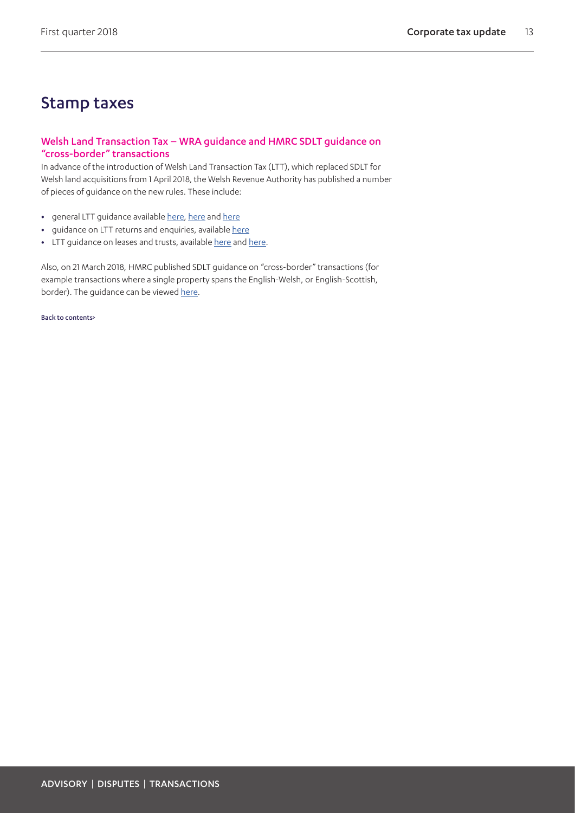## Stamp taxes

## <span id="page-12-0"></span>Welsh Land Transaction Tax – WRA guidance and HMRC SDLT guidance on "cross-border" transactions

In advance of the introduction of Welsh Land Transaction Tax (LTT), which replaced SDLT for Welsh land acquisitions from 1 April 2018, the Welsh Revenue Authority has published a number of pieces of guidance on the new rules. These include:

- **•** general LTT guidance available [here,](https://beta.gov.wales/land-transactions) [here](https://beta.gov.wales/chargeable-transactions-and-chargeable-consideration-technical-guidance) and [here](https://beta.gov.wales/particular-transactions-technical-guidance)
- **•** guidance on LTT returns and enquiries, available [here](https://beta.gov.wales/tax-returns-enquiries-and-assessments-technical-guidance)
- LTT guidance on leases and trusts, available [here](https://beta.gov.wales/land-transaction-tax-trusts-technical-guidance) and here.

Also, on 21 March 2018, HMRC published SDLT guidance on "cross-border" transactions (for example transactions where a single property spans the English-Welsh, or English-Scottish, border). The guidance can be viewed [here.](https://www.gov.uk/guidance/stamp-duty-land-tax-cross-border-transactions)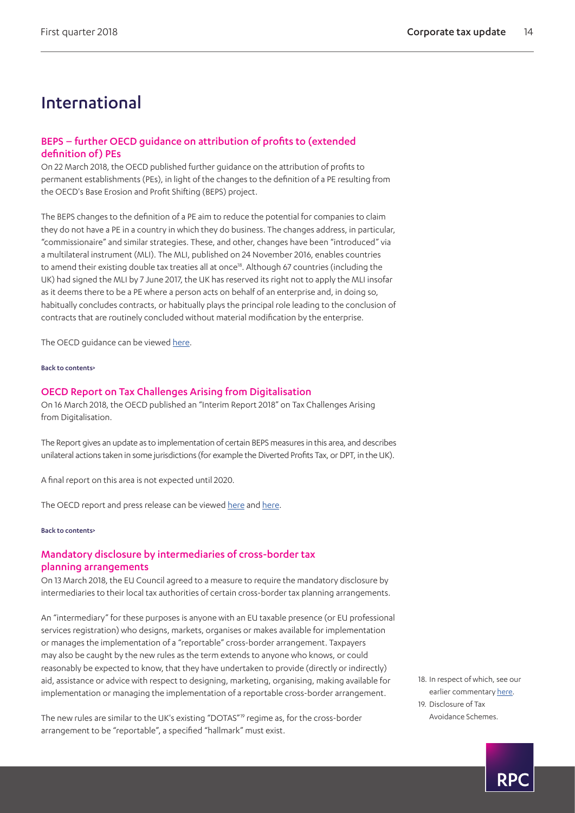## <span id="page-13-0"></span>International

## BEPS – further OECD guidance on attribution of profits to (extended definition of) PEs

On 22 March 2018, the OECD published further guidance on the attribution of profits to permanent establishments (PEs), in light of the changes to the definition of a PE resulting from the OECD's Base Erosion and Profit Shifting (BEPS) project.

The BEPS changes to the definition of a PE aim to reduce the potential for companies to claim they do not have a PE in a country in which they do business. The changes address, in particular, "commissionaire" and similar strategies. These, and other, changes have been "introduced" via a multilateral instrument (MLI). The MLI, published on 24 November 2016, enables countries to amend their existing double tax treaties all at once<sup>18</sup>. Although 67 countries (including the UK) had signed the MLI by 7 June 2017, the UK has reserved its right not to apply the MLI insofar as it deems there to be a PE where a person acts on behalf of an enterprise and, in doing so, habitually concludes contracts, or habitually plays the principal role leading to the conclusion of contracts that are routinely concluded without material modification by the enterprise.

The OECD quidance can be viewed [here](http://www.oecd.org/tax/transfer-pricing/additional-guidance-attribution-of-profits-to-permanent-establishments-BEPS-action-7.pdf).

#### [Back to contents>](#page-0-0)

#### <span id="page-13-1"></span>OECD Report on Tax Challenges Arising from Digitalisation

On 16 March 2018, the OECD published an "Interim Report 2018" on Tax Challenges Arising from Digitalisation.

The Report gives an update as to implementation of certain BEPS measures in this area, and describes unilateral actions taken in some jurisdictions (for example the Diverted Profits Tax, or DPT, in the UK).

A final report on this area is not expected until 2020.

The OECD report and press release can be viewed [here](http://www.oecd.org/tax/tax-challenges-arising-from-digitalisation-more-than-110-countries-agree-to-work-towards-a-consensus-basedsolution.htm) and here.

#### [Back to contents>](#page-0-0)

### Mandatory disclosure by intermediaries of cross-border tax planning arrangements

On 13 March 2018, the EU Council agreed to a measure to require the mandatory disclosure by intermediaries to their local tax authorities of certain cross-border tax planning arrangements.

An "intermediary" for these purposes is anyone with an EU taxable presence (or EU professional services registration) who designs, markets, organises or makes available for implementation or manages the implementation of a "reportable" cross-border arrangement. Taxpayers may also be caught by the new rules as the term extends to anyone who knows, or could reasonably be expected to know, that they have undertaken to provide (directly or indirectly) aid, assistance or advice with respect to designing, marketing, organising, making available for implementation or managing the implementation of a reportable cross-border arrangement.

The new rules are similar to the UK's existing "DOTAS"<sup>[19](#page-13-3)</sup> regime as, for the cross-border arrangement to be "reportable", a specified "hallmark" must exist.

- <span id="page-13-3"></span><span id="page-13-2"></span>18. In respect of which, see our earlier commentary [here.](https://www.rpc.co.uk/perspectives/tax-take/corporate-tax-update-final-quarter-2016) 19. Disclosure of Tax
	- Avoidance Schemes.

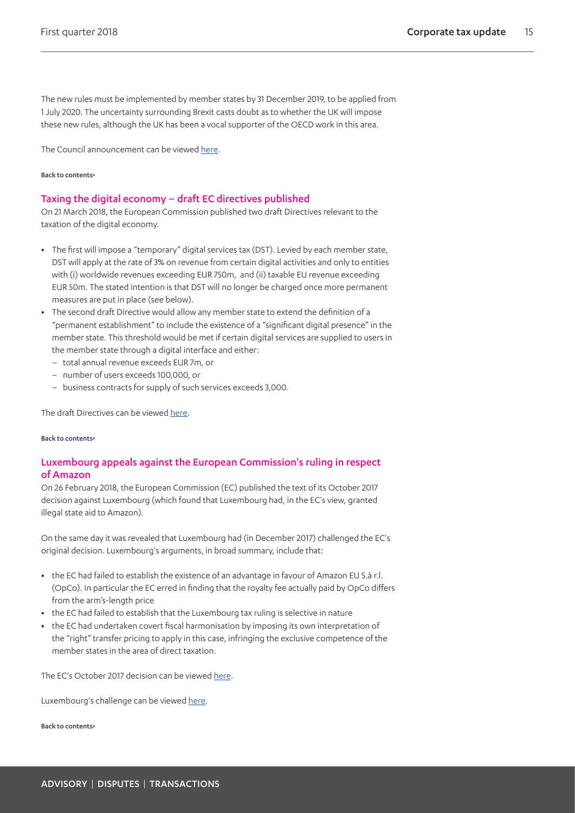The new rules must be implemented by member states by 31 December 2019, to be applied from 1 July 2020. The uncertainty surrounding Brexit casts doubt as to whether the UK will impose these new rules, although the UK has been a vocal supporter of the OECD work in this area.

The Council announcement can be viewed [here.](http://www.consilium.europa.eu/en/press/press-releases/2018/03/13/corporate-tax-avoidance-agreement-reached-on-tax-intermediaries/)

#### [Back to contents>](#page-0-0)

#### <span id="page-14-0"></span>Taxing the digital economy – draft EC directives published

On 21 March 2018, the European Commission published two draft Directives relevant to the taxation of the digital economy.

- **•** The first will impose a "temporary" digital services tax (DST). Levied by each member state, DST will apply at the rate of 3% on revenue from certain digital activities and only to entities with (i) worldwide revenues exceeding EUR 750m, and (ii) taxable EU revenue exceeding EUR 50m. The stated intention is that DST will no longer be charged once more permanent measures are put in place (see below).
- **•** The second draft Directive would allow any member state to extend the definition of a "permanent establishment" to include the existence of a "significant digital presence" in the member state. This threshold would be met if certain digital services are supplied to users in the member state through a digital interface and either:
	- total annual revenue exceeds EUR 7m, or
	- number of users exceeds 100,000, or
	- business contracts for supply of such services exceeds 3,000.

The draft Directives can be viewed [here](https://ec.europa.eu/taxation_customs/business/company-tax/fair-taxation-digital-economy_en).

#### [Back to contents>](#page-0-0)

## Luxembourg appeals against the European Commission's ruling in respect of Amazon

On 26 February 2018, the European Commission (EC) published the text of its October 2017 decision against Luxembourg (which found that Luxembourg had, in the EC's view, granted illegal state aid to Amazon).

On the same day it was revealed that Luxembourg had (in December 2017) challenged the EC's original decision. Luxembourg's arguments, in broad summary, include that:

- **•** the EC had failed to establish the existence of an advantage in favour of Amazon EU S.à r.l. (OpCo). In particular the EC erred in finding that the royalty fee actually paid by OpCo differs from the arm's-length price
- **•** the EC had failed to establish that the Luxembourg tax ruling is selective in nature
- **•** the EC had undertaken covert fiscal harmonisation by imposing its own interpretation of the "right" transfer pricing to apply in this case, infringing the exclusive competence of the member states in the area of direct taxation.

The EC's October 2017 decision can be viewed [here](http://ec.europa.eu/competition/state_aid/cases/254685/254685_1966181_890_2.pdf).

Luxembourg's challenge can be viewed [here.](http://eur-lex.europa.eu/legal-content/EN/TXT/?uri=uriserv:OJ.C_.2018.072.01.0038.01.ENG&toc=OJ:C:2018:072:TOC)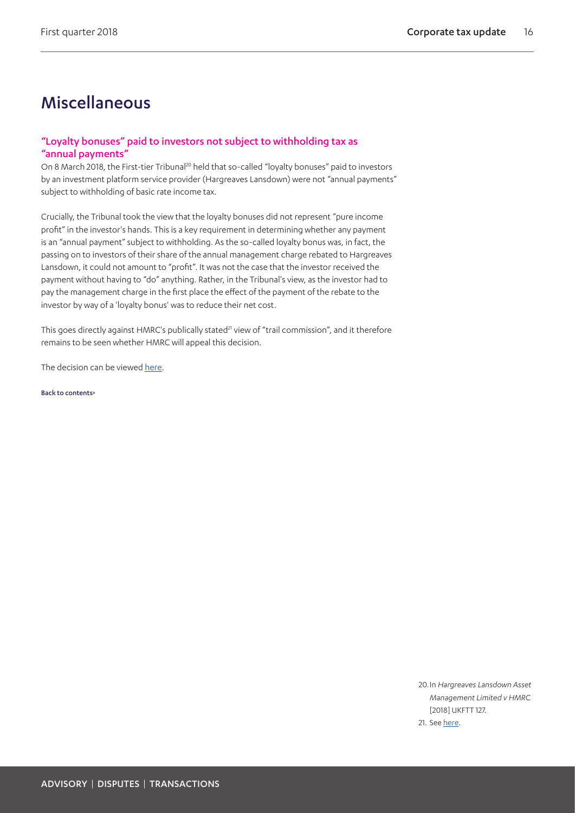## **Miscellaneous**

## <span id="page-15-0"></span>"Loyalty bonuses" paid to investors not subject to withholding tax as "annual payments"

On 8 March [20](#page-15-1)18, the First-tier Tribunal<sup>20</sup> held that so-called "loyalty bonuses" paid to investors by an investment platform service provider (Hargreaves Lansdown) were not "annual payments" subject to withholding of basic rate income tax.

Crucially, the Tribunal took the view that the loyalty bonuses did not represent "pure income profit" in the investor's hands. This is a key requirement in determining whether any payment is an "annual payment" subject to withholding. As the so-called loyalty bonus was, in fact, the passing on to investors of their share of the annual management charge rebated to Hargreaves Lansdown, it could not amount to "profit". It was not the case that the investor received the payment without having to "do" anything. Rather, in the Tribunal's view, as the investor had to pay the management charge in the first place the effect of the payment of the rebate to the investor by way of a 'loyalty bonus' was to reduce their net cost.

This goes directly against HMRC's publically stated<sup>21</sup> view of "trail commission", and it therefore remains to be seen whether HMRC will appeal this decision.

The decision can be viewed [here.](http://financeandtax.decisions.tribunals.gov.uk//judgmentfiles/j10347/TC06383.pdf)

[Back to contents>](#page-0-0)

<span id="page-15-2"></span><span id="page-15-1"></span>20.In *Hargreaves Lansdown Asset Management Limited v HMRC* [2018] UKFTT 127. 21. See [here.](https://www.gov.uk/government/publications/revenue-and-customs-brief-4-2013-payments-of-trail-commission/revenue-and-customs-brief-4-2013-payments-of-trail-commission)